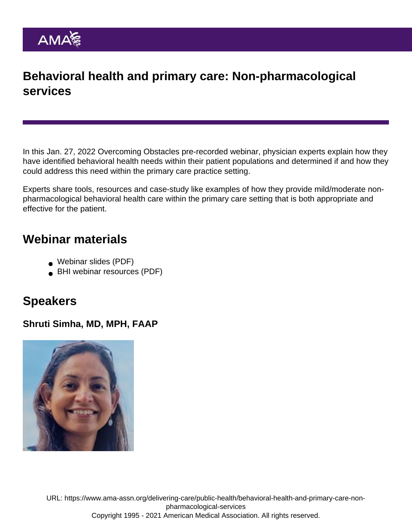## Behavioral health and primary care: Non-pharmacological services

In this Jan. 27, 2022 [Overcoming Obstacles](https://www.ama-assn.org/delivering-care/public-health/behavioral-health-integration-bhi-overcoming-obstacles-webinar-series) pre-recorded webinar, physician experts explain how they have identified behavioral health needs within their patient populations and determined if and how they could address this need within the primary care practice setting.

Experts share tools, resources and case-study like examples of how they provide mild/moderate nonpharmacological behavioral health care within the primary care setting that is both appropriate and effective for the patient.

## Webinar materials

- [Webinar slides](https://www.ama-assn.org/system/files/non-pharmacological-services-webinar-slides.pdf) (PDF)
- [BHI webinar resources](https://www.ama-assn.org/system/files/non-pharmacological-services-webinar-resources.pdf) (PDF)

## Speakers

Shruti Simha, MD, MPH, FAAP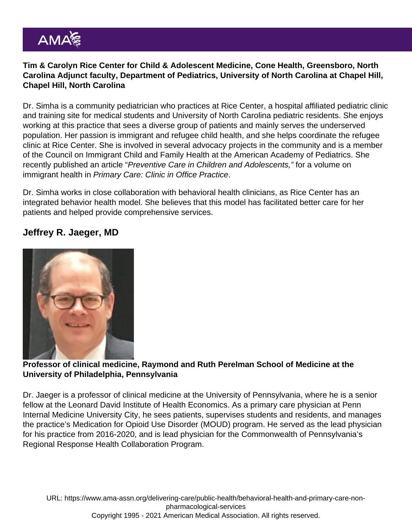Tim & Carolyn Rice Center for Child & Adolescent Medicine, Cone Health, Greensboro, North Carolina Adjunct faculty, Department of Pediatrics, University of North Carolina at Chapel Hill, Chapel Hill, North Carolina

Dr. Simha is a community pediatrician who practices at Rice Center, a hospital affiliated pediatric clinic and training site for medical students and University of North Carolina pediatric residents. She enjoys working at this practice that sees a diverse group of patients and mainly serves the underserved population. Her passion is immigrant and refugee child health, and she helps coordinate the refugee clinic at Rice Center. She is involved in several advocacy projects in the community and is a member of the Council on Immigrant Child and Family Health at the American Academy of Pediatrics. She recently published an article "Preventive Care in Children and Adolescents," for a volume on immigrant health in Primary Care: Clinic in Office Practice.

Dr. Simha works in close collaboration with behavioral health clinicians, as Rice Center has an integrated behavior health model. She believes that this model has facilitated better care for her patients and helped provide comprehensive services.

Jeffrey R. Jaeger, MD

Professor of clinical medicine, Raymond and Ruth Perelman School of Medicine at the University of Philadelphia, Pennsylvania

Dr. Jaeger is a professor of clinical medicine at the University of Pennsylvania, where he is a senior fellow at the Leonard David Institute of Health Economics. As a primary care physician at Penn Internal Medicine University City, he sees patients, supervises students and residents, and manages the practice's Medication for Opioid Use Disorder (MOUD) program. He served as the lead physician for his practice from 2016-2020, and is lead physician for the Commonwealth of Pennsylvania's Regional Response Health Collaboration Program.

URL: [https://www.ama-assn.org/delivering-care/public-health/behavioral-health-and-primary-care-non](https://www.ama-assn.org/delivering-care/public-health/behavioral-health-and-primary-care-non-pharmacological-services)[pharmacological-services](https://www.ama-assn.org/delivering-care/public-health/behavioral-health-and-primary-care-non-pharmacological-services) Copyright 1995 - 2021 American Medical Association. All rights reserved.